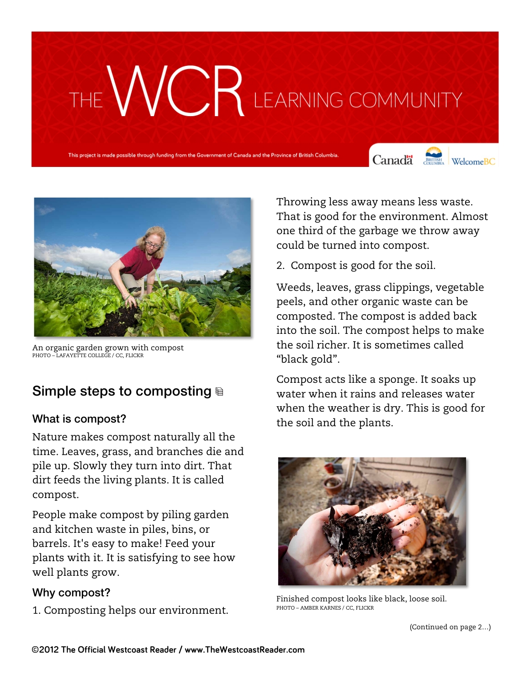# THE WCR LEARNING COMMUNITY

This project is made possible through funding from the Government of Canada and the Province of British Colu

Canada **Strategy** Welcome BC





An organic garden grown with compost PHOTO – LAFAYETTE COLLEGE / CC, FLICKR

### Simple steps to composting

#### What is compost?

Nature makes compost naturally all the time. Leaves, grass, and branches die and pile up. Slowly they turn into dirt. That dirt feeds the living plants. It is called compost.

People make compost by piling garden and kitchen waste in piles, bins, or barrels. It's easy to make! Feed your plants with it. It is satisfying to see how well plants grow.

#### Why compost?

1. Composting helps our environment.

Throwing less away means less waste. That is good for the environment. Almost one third of the garbage we throw away could be turned into compost.

2. Compost is good for the soil.

Weeds, leaves, grass clippings, vegetable peels, and other organic waste can be composted. The compost is added back into the soil. The compost helps to make the soil richer. It is sometimes called "black gold".

Compost acts like a sponge. It soaks up water when it rains and releases water when the weather is dry. This is good for the soil and the plants.



Finished compost looks like black, loose soil. PHOTO – AMBER KARNES / CC, FLICKR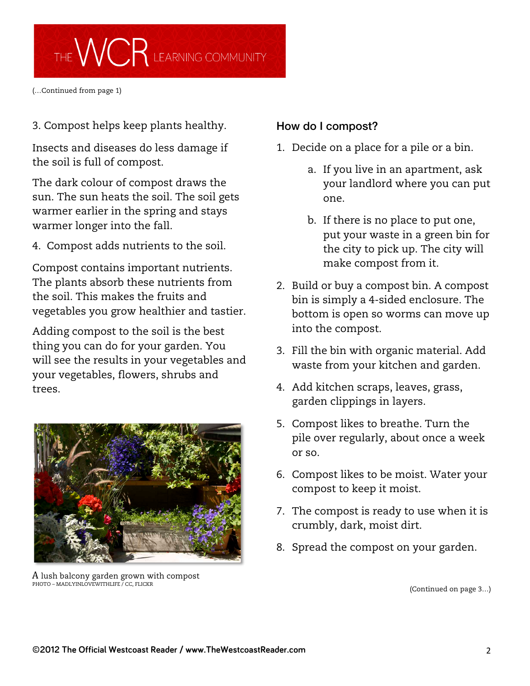

(…Continued from page 1)

3. Compost helps keep plants healthy.

Insects and diseases do less damage if the soil is full of compost.

The dark colour of compost draws the sun. The sun heats the soil. The soil gets warmer earlier in the spring and stays warmer longer into the fall.

4. Compost adds nutrients to the soil.

Compost contains important nutrients. The plants absorb these nutrients from the soil. This makes the fruits and vegetables you grow healthier and tastier.

Adding compost to the soil is the best thing you can do for your garden. You will see the results in your vegetables and your vegetables, flowers, shrubs and trees.



 ${\rm A}$  lush balcony garden grown with compost<br>PHOTO – MADLYINLOVEWITHLIFE / CC, FLICKR

#### How do I compost?

- 1. Decide on a place for a pile or a bin.
	- a. If you live in an apartment, ask your landlord where you can put one.
	- b. If there is no place to put one, put your waste in a green bin for the city to pick up. The city will make compost from it.
- 2. Build or buy a compost bin. A compost bin is simply a 4-sided enclosure. The bottom is open so worms can move up into the compost.
- 3. Fill the bin with organic material. Add waste from your kitchen and garden.
- 4. Add kitchen scraps, leaves, grass, garden clippings in layers.
- 5. Compost likes to breathe. Turn the pile over regularly, about once a week or so.
- 6. Compost likes to be moist. Water your compost to keep it moist.
- 7. The compost is ready to use when it is crumbly, dark, moist dirt.
- 8. Spread the compost on your garden.

(Continued on page 3…)